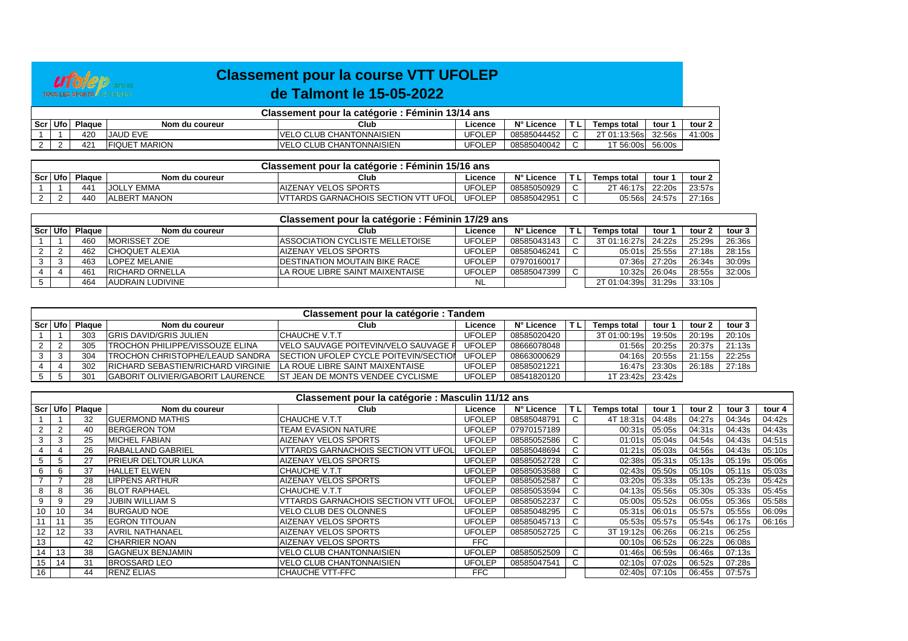

## **Classement pour la course VTT UFOLEPde Talmont le 15-05-2022**

| Classement pour la catégorie : Féminin 13/14 ans |         |                 |                      |                                  |               |             |   |                          |        |        |  |  |  |
|--------------------------------------------------|---------|-----------------|----------------------|----------------------------------|---------------|-------------|---|--------------------------|--------|--------|--|--|--|
|                                                  | Scr Ufo | Plague          | Nom du coureur       | Club                             | Licence       | N° Licence  | - | Temps total              | tour   | tour 2 |  |  |  |
|                                                  |         | 420             | <b>JJAUD EVE</b>     | IVELO CLUB CHANTONNAISIEN        | <b>UFOLEP</b> | 08585044452 |   | 2T 01:13:56sl            | 32:56s | 41:00s |  |  |  |
|                                                  |         | 42 <sup>4</sup> | <b>FIQUET MARION</b> | <b>IVELO CLUB CHANTONNAISIEN</b> | <b>UFOLEP</b> | 08585040042 |   | $\cdot$ T 56:00s $\cdot$ | 56:00s |        |  |  |  |

|         | Classement pour la catégorie : Féminin 15/16 ans |        |                       |                                               |               |             |    |                          |        |        |  |  |  |  |
|---------|--------------------------------------------------|--------|-----------------------|-----------------------------------------------|---------------|-------------|----|--------------------------|--------|--------|--|--|--|--|
| Scr Ufo |                                                  | Plague | Nom du coureur        | Club                                          | ∟icence       | N° Licence  | L. | Temps total              | tour   | tour 2 |  |  |  |  |
|         |                                                  | 441    | Y EMMA<br><b>JOL.</b> | <b>IAIZENAY VELOS SPORTS</b>                  | <b>UFOLEP</b> | 08585050929 |    | <sup>2</sup> T 46:17sl . | 22:20s | 23:57s |  |  |  |  |
|         |                                                  | 440    | <b>ALBERT MANON</b>   | <b>'TTARDS GARNACHOIS SECTION VTT</b><br>UFOL | <b>UFOLEP</b> | 0858504295  | ັ  | 05:56s                   | 24:57s | 27:16s |  |  |  |  |

|           |               |                        | Classement pour la catégorie : Féminin 17/29 ans |               |             |     |                     |        |        |        |
|-----------|---------------|------------------------|--------------------------------------------------|---------------|-------------|-----|---------------------|--------|--------|--------|
| Scr   Ufo | <b>Plague</b> | Nom du coureur         | Club                                             | Licence       | N° Licence  | T L | Temps total         | tour⊹  | tour 2 | tour 3 |
|           | 460           | <b>IMORISSET ZOE</b>   | <b>IASSOCIATION CYCLISTE MELLETOISE</b>          | <b>UFOLEP</b> | 08585043143 | C.  | 3T 01:16:27s 24:22s |        | 25:29s | 26:36s |
|           | 462           | <b>CHOQUET ALEXIA</b>  | IAIZENAY VELOS SPORTS                            | <b>UFOLEP</b> | 08585046241 |     | 05:01s              | 25:55s | 27:18s | 28:15s |
|           | 463           | <b>LOPEZ MELANIE</b>   | <b>IDESTINATION MOUTAIN BIKE RACE</b>            | <b>UFOLEP</b> | 07970160017 |     | 07:36s              | 27:20s | 26:34s | 30:09s |
|           | 461           | <b>RICHARD ORNELLA</b> | LA ROUE LIBRE SAINT MAIXENTAISE                  | <b>UFOLEP</b> | 08585047399 |     | 10:32s              | 26:04s | 28:55s | 32:00s |
|           | 464           | AUDRAIN LUDIVINE       |                                                  | NL            |             |     | 2T 01:04:39s        | 31:29s | 33:10s |        |

| Classement pour la catégorie : Tandem |           |        |                                          |                                               |               |             |     |              |        |        |        |  |  |
|---------------------------------------|-----------|--------|------------------------------------------|-----------------------------------------------|---------------|-------------|-----|--------------|--------|--------|--------|--|--|
|                                       | Scr   Ufo | Plague | Nom du coureur                           | Club                                          | Licence       | N° Licence  | TL. | Temps total  | tour 1 | tour 2 | tour 3 |  |  |
|                                       |           | 303    | <b>IGRIS DAVID/GRIS JULIEN</b>           | ICHAUCHE V.T.T                                | UFOLEP        | 08585020420 |     | 3T 01:00:19s | 19:50s | 20:19s | 20:10s |  |  |
|                                       |           | 305    | <b>ITROCHON PHILIPPE/VISSOUZE ELINA</b>  | <b>IVELO SAUVAGE POITEVIN/VELO SAUVAGE F</b>  | <b>UFOLEP</b> | 08666078048 |     | 01:56s       | 20:25s | 20:37s | 21:13s |  |  |
|                                       |           | 304    | <b>ITROCHON CHRISTOPHE/LEAUD SANDRA</b>  | <b>ISECTION UFOLEP CYCLE POITEVIN/SECTION</b> | UFOLEP        | 08663000629 |     | 04:16s       | 20:55s | 21:15s | 22:25s |  |  |
|                                       |           | 302    | IRICHARD SEBASTIEN/RICHARD VIRGINIE      | LA ROUE LIBRE SAINT MAIXENTAISE               | UFOLEP        | 08585021221 |     | 16:47s       | 23:30s | 26:18s | 27:18s |  |  |
|                                       |           | 301    | <b>IGABORIT OLIVIER/GABORIT LAURENCE</b> | <b>IST JEAN DE MONTS VENDEE CYCLISME</b>      | UFOLEP        | 08541820120 |     | 1T 23:42s    | 23:42s |        |        |  |  |

|                 | Classement pour la catégorie : Masculin 11/12 ans |                |                            |                                             |               |             |           |                    |        |        |        |        |  |  |  |
|-----------------|---------------------------------------------------|----------------|----------------------------|---------------------------------------------|---------------|-------------|-----------|--------------------|--------|--------|--------|--------|--|--|--|
|                 |                                                   | Scr Ufo Plaque | Nom du coureur             | Club                                        | Licence       | N° Licence  | <b>TL</b> | <b>Temps total</b> | tour 1 | tour 2 | tour 3 | tour 4 |  |  |  |
|                 |                                                   | 32             | <b>GUERMOND MATHIS</b>     | ICHAUCHE V.T.T                              | UFOLEP        | 08585048791 |           | 4T 18:31s          | 04:48s | 04:27s | 04:34s | 04:42s |  |  |  |
|                 | $\overline{2}$                                    | 40             | <b>IBERGERON TOM</b>       | <b>TEAM EVASION NATURE</b>                  | UFOLEP        | 07970157189 |           | 00:31s             | 05:05s | 04:31s | 04:43s | 04:43s |  |  |  |
|                 | 3                                                 | 25             | <b>MICHEL FABIAN</b>       | <b>AIZENAY VELOS SPORTS</b>                 | UFOLEP        | 08585052586 | C         | 01:01s             | 05:04s | 04:54s | 04:43s | 04:51s |  |  |  |
|                 |                                                   | 26             | <b>RABALLAND GABRIEL</b>   | <b>VTTARDS GARNACHOIS SECTION VTT UFOLI</b> | UFOLEP        | 08585048694 |           | 01:21s             | 05:03s | 04:56s | 04:43s | 05:10s |  |  |  |
| 5               | .5                                                | 27             | <b>PRIEUR DELTOUR LUKA</b> | <b>AIZENAY VELOS SPORTS</b>                 | <b>UFOLEP</b> | 08585052728 | C         | 02:38s             | 05:31s | 05:13s | 05:19s | 05:06s |  |  |  |
| 6               |                                                   | 37             | <b>HALLET ELWEN</b>        | ICHAUCHE V.T.T                              | <b>UFOLEP</b> | 08585053588 | C         | 02:43s             | 05:50s | 05:10s | 05:11s | 05:03s |  |  |  |
|                 |                                                   | 28             | <b>ILIPPENS ARTHUR</b>     | <b>AIZENAY VELOS SPORTS</b>                 | <b>UFOLEP</b> | 08585052587 |           | 03:20s             | 05:33s | 05:13s | 05:23s | 05:42s |  |  |  |
| 8               |                                                   | 36             | <b>BLOT RAPHAEL</b>        | ICHAUCHE V.T.T                              | <b>UFOLEP</b> | 08585053594 | C         | 04:13s             | 05:56s | 05:30s | 05:33s | 05:45s |  |  |  |
| 9               |                                                   | 29             | <b>JUBIN WILLIAM S</b>     | <b>VTTARDS GARNACHOIS SECTION VTT UFOLI</b> | <b>UFOLEP</b> | 08585052237 | C         | 05:00s             | 05:52s | 06:05s | 05:36s | 05:58s |  |  |  |
| 10 <sup>1</sup> | 10                                                | 34             | <b>BURGAUD NOE</b>         | <b>VELO CLUB DES OLONNES</b>                | <b>UFOLEP</b> | 08585048295 |           | 05:31s             | 06:01s | 05:57s | 05:55s | 06:09s |  |  |  |
|                 |                                                   | 35             | <b>EGRON TITOUAN</b>       | <b>AIZENAY VELOS SPORTS</b>                 | <b>UFOLEP</b> | 08585045713 |           | 05:53s             | 05:57s | 05:54s | 06:17s | 06:16s |  |  |  |
| 12 <sub>1</sub> | $12 \overline{ }$                                 | 33             | <b>AVRIL NATHANAEL</b>     | <b>AIZENAY VELOS SPORTS</b>                 | <b>UFOLEP</b> | 08585052725 | C         | 3T 19:12s          | 06:26s | 06:21s | 06:25s |        |  |  |  |
| 13              |                                                   | 42             | <b>CHARRIER NOAN</b>       | <b>AIZENAY VELOS SPORTS</b>                 | <b>FFC</b>    |             |           | 00:10s             | 06:52s | 06:22s | 06:08s |        |  |  |  |
| 14              | 13                                                | 38             | <b>GAGNEUX BENJAMIN</b>    | <b>VELO CLUB CHANTONNAISIEN</b>             | <b>UFOLEP</b> | 08585052509 | C         | 01:46s             | 06:59s | 06:46s | 07:13s |        |  |  |  |
| 15 <sup>1</sup> | 14                                                | 31             | <b>BROSSARD LEO</b>        | <b>VELO CLUB CHANTONNAISIEN</b>             | <b>UFOLEP</b> | 08585047541 |           | 02:10s             | 07:02s | 06:52s | 07:28s |        |  |  |  |
| 16              |                                                   | 44             | <b>RENZ ELIAS</b>          | <b>CHAUCHE VTT-FFC</b>                      | <b>FFC</b>    |             |           | 02:40s             | 07:10s | 06:45s | 07:57s |        |  |  |  |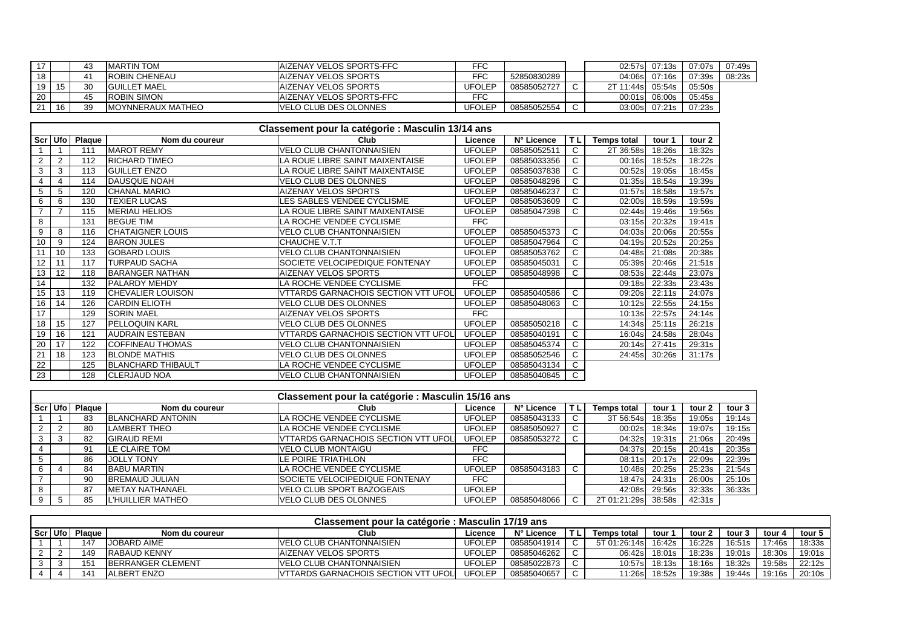|    |    |              | <b>IMARTIN TOM</b>        | IAIZENAY VELOS SPORTS-FFC     | FFC    |             |        |            | 02:57s 07:13s | 07:07s l | 07:49s |
|----|----|--------------|---------------------------|-------------------------------|--------|-------------|--------|------------|---------------|----------|--------|
| 18 |    |              | <b>ROBIN CHENEAU</b>      | IAIZENAY VELOS SPORTS         | FFC    | 52850830289 |        |            | 04:06s 07:16s | 07:39s l | 08:23s |
| 19 | 15 | $30^{\circ}$ | <b>IGUILLET MAEL</b>      | IAIZENAY VELOS SPORTS         | UFOLEF | 08585052727 | $\sim$ | 2T 11:44sl | 05:54s        | 05:50s   |        |
| 20 |    | 45           | <b>ROBIN SIMON</b>        | IAIZENAY VELOS SPORTS-FFC     | FFC    |             |        |            | 00:01s 06:00s | 05:45s   |        |
|    | 16 | 39           | <b>IMOYNNERAUX MATHEO</b> | <u>IVELO CLUB DES OLONNES</u> | UFOLEP | 08585052554 |        |            | 03:00s 07:21s | 07:23s   |        |

|     | Classement pour la catégorie : Masculin 13/14 ans |               |                           |                                            |               |             |           |                    |        |        |  |  |  |  |
|-----|---------------------------------------------------|---------------|---------------------------|--------------------------------------------|---------------|-------------|-----------|--------------------|--------|--------|--|--|--|--|
| Scr | Ufo                                               | <b>Plaque</b> | Nom du coureur            | Club                                       | Licence       | N° Licence  | <b>TL</b> | <b>Temps total</b> | tour 1 | tour 2 |  |  |  |  |
|     |                                                   | 111           | <b>MAROT REMY</b>         | <b>VELO CLUB CHANTONNAISIEN</b>            | <b>UFOLEP</b> | 08585052511 | C         | 2T 36:58s          | 18:26s | 18:32s |  |  |  |  |
| 2   | 2                                                 | 112           | <b>RICHARD TIMEO</b>      | LA ROUE LIBRE SAINT MAIXENTAISE            | <b>UFOLEP</b> | 08585033356 | C         | 00:16s             | 18:52s | 18:22s |  |  |  |  |
| 3   | 3                                                 | 113           | <b>GUILLET ENZO</b>       | LA ROUE LIBRE SAINT MAIXENTAISE            | <b>UFOLEP</b> | 08585037838 | C         | 00:52s             | 19:05s | 18:45s |  |  |  |  |
| 4   | 4                                                 | 114           | DAUSQUE NOAH              | VELO CLUB DES OLONNES                      | <b>UFOLEP</b> | 08585048296 | C         | 01:35s             | 18:54s | 19:39s |  |  |  |  |
| 5   | 5                                                 | 120           | <b>CHANAL MARIO</b>       | <b>AIZENAY VELOS SPORTS</b>                | <b>UFOLEP</b> | 08585046237 | C         | 01:57s             | 18:58s | 19:57s |  |  |  |  |
| 6   | 6                                                 | 130           | <b>TEXIER LUCAS</b>       | LES SABLES VENDEE CYCLISME                 | <b>UFOLEP</b> | 08585053609 | C.        | 02:00s             | 18:59s | 19:59s |  |  |  |  |
|     |                                                   | 115           | <b>MERIAU HELIOS</b>      | LA ROUE LIBRE SAINT MAIXENTAISE            | <b>UFOLEP</b> | 08585047398 | C         | 02:44s             | 19:46s | 19:56s |  |  |  |  |
| 8   |                                                   | 131           | <b>BEGUE TIM</b>          | LA ROCHE VENDEE CYCLISME                   | <b>FFC</b>    |             |           | 03:15s             | 20:32s | 19:41s |  |  |  |  |
| 9   | 8                                                 | 116           | <b>CHATAIGNER LOUIS</b>   | <b>VELO CLUB CHANTONNAISIEN</b>            | <b>UFOLEP</b> | 08585045373 | C.        | 04:03s             | 20:06s | 20:55s |  |  |  |  |
| 10  | 9                                                 | 124           | <b>BARON JULES</b>        | CHAUCHE V.T.T                              | <b>UFOLEP</b> | 08585047964 | C         | 04:19s             | 20:52s | 20:25s |  |  |  |  |
| 11  | 10                                                | 133           | <b>GOBARD LOUIS</b>       | <b>VELO CLUB CHANTONNAISIEN</b>            | <b>UFOLEP</b> | 08585053762 | C         | 04:48s             | 21:08s | 20:38s |  |  |  |  |
| 12  | 11                                                | 117           | <b>TURPAUD SACHA</b>      | SOCIETE VELOCIPEDIQUE FONTENAY             | <b>UFOLEP</b> | 08585045031 | C         | 05:39s             | 20:46s | 21:51s |  |  |  |  |
| 13  | 12                                                | 118           | <b>BARANGER NATHAN</b>    | AIZENAY VELOS SPORTS                       | <b>UFOLEP</b> | 08585048998 | C         | 08:53s             | 22:44s | 23:07s |  |  |  |  |
| 14  |                                                   | 132           | <b>PALARDY MEHDY</b>      | LA ROCHE VENDEE CYCLISME                   | <b>FFC</b>    |             |           | 09:18s             | 22:33s | 23:43s |  |  |  |  |
| 15  | 13                                                | 119           | <b>CHEVALIER LOUISON</b>  | <b>VTTARDS GARNACHOIS SECTION VTT UFOL</b> | <b>UFOLEP</b> | 08585040586 | C.        | 09:20s             | 22:11s | 24:07s |  |  |  |  |
| 16  | 14                                                | 126           | <b>CARDIN ELIOTH</b>      | <b>VELO CLUB DES OLONNES</b>               | <b>UFOLEP</b> | 08585048063 | C         | 10:12s             | 22:55s | 24:15s |  |  |  |  |
| 17  |                                                   | 129           | <b>SORIN MAEL</b>         | <b>AIZENAY VELOS SPORTS</b>                | <b>FFC</b>    |             |           | 10:13s             | 22:57s | 24:14s |  |  |  |  |
| 18  | 15                                                | 127           | <b>PELLOQUIN KARL</b>     | VELO CLUB DES OLONNES                      | <b>UFOLEP</b> | 08585050218 | C.        | 14:34s             | 25:11s | 26:21s |  |  |  |  |
| 19  | 16                                                | 121           | <b>AUDRAIN ESTEBAN</b>    | VTTARDS GARNACHOIS SECTION VTT UFOL        | <b>UFOLEP</b> | 08585040191 | C         | 16:04s             | 24:58s | 28:04s |  |  |  |  |
| 20  | 17                                                | 122           | <b>COFFINEAU THOMAS</b>   | <b>VELO CLUB CHANTONNAISIEN</b>            | <b>UFOLEP</b> | 08585045374 | C         | 20:14s             | 27:41s | 29:31s |  |  |  |  |
| 21  | 18                                                | 123           | <b>BLONDE MATHIS</b>      | VELO CLUB DES OLONNES                      | <b>UFOLEP</b> | 08585052546 | C         | 24:45sl            | 30:26s | 31:17s |  |  |  |  |
| 22  |                                                   | 125           | <b>BLANCHARD THIBAULT</b> | LA ROCHE VENDEE CYCLISME                   | <b>UFOLEP</b> | 08585043134 | C         |                    |        |        |  |  |  |  |
| 23  |                                                   | 128           | <b>CLERJAUD NOA</b>       | <b>VELO CLUB CHANTONNAISIEN</b>            | <b>UFOLEP</b> | 08585040845 | C.        |                    |        |        |  |  |  |  |

|    |           |        |                           | Classement pour la catégorie : Masculin 15/16 ans |               |             |    |                    |        |        |        |
|----|-----------|--------|---------------------------|---------------------------------------------------|---------------|-------------|----|--------------------|--------|--------|--------|
|    | Scr   Ufo | Plague | Nom du coureur            | Club                                              | Licence       | N° Licence  | TL | <b>Temps total</b> | tour   | tour 2 | tour 3 |
|    |           | 83     | <b>BLANCHARD ANTONIN</b>  | LA ROCHE VENDEE CYCLISME                          | <b>UFOLEP</b> | 08585043133 |    | 3T 56:54s          | 18:35s | 19:05s | 19:14s |
|    |           | 80     | <b>LAMBERT THEO</b>       | LA ROCHE VENDEE CYCLISME                          | <b>UFOLEP</b> | 08585050927 |    | 00:02s             | 18:34s | 19:07s | 19:15s |
|    | 3         | 82     | <b>GIRAUD REMI</b>        | <b>VTTARDS GARNACHOIS SECTION VTT UFOL</b>        | <b>UFOLEP</b> | 08585053272 |    | 04:32s             | 19:31s | 21:06s | 20:49s |
|    |           | 91     | <b>ILE CLAIRE TOM</b>     | <b>VELO CLUB MONTAIGU</b>                         | FFC.          |             |    | 04:37sl            | 20:15s | 20:41s | 20:35s |
|    |           | 86     | <b>JOLLY TONY</b>         | LE POIRE TRIATHLON                                | <b>FFC</b>    |             |    | 08:11s             | 20:17s | 22:09s | 22:39s |
| 6. |           | 84     | <b>BABU MARTIN</b>        | LA ROCHE VENDEE CYCLISME                          | <b>UFOLEP</b> | 08585043183 |    | 10:48s             | 20:25s | 25:23s | 21:54s |
|    |           | 90     | <b>BREMAUD JULIAN</b>     | <b>ISOCIETE VELOCIPEDIQUE FONTENAY</b>            | FFC           |             |    | 18:47s             | 24:31s | 26:00s | 25:10s |
|    |           | 87     | <b>IMETAY NATHANAEL</b>   | <b>VELO CLUB SPORT BAZOGEAIS</b>                  | <b>UFOLEP</b> |             |    | 42:08s             | 29:56s | 32:33s | 36:33s |
|    | 5         | 85     | <b>IL'HUILLIER MATHEO</b> | <b>VELO CLUB DES OLONNES</b>                      | <b>UFOLEP</b> | 08585048066 |    | 2T 01:21:29s       | 38:58s | 42:31s |        |

| Classement pour la catégorie : Masculin 17/19 ans                                                                                       |     |                          |                                             |        |             |  |               |                |        |        |        |        |  |
|-----------------------------------------------------------------------------------------------------------------------------------------|-----|--------------------------|---------------------------------------------|--------|-------------|--|---------------|----------------|--------|--------|--------|--------|--|
| Scr   Ufo  <br>N° Licence<br>Club<br>Plague<br>tour 5<br>Temps total<br>tour 2<br>tour 4<br>Licence<br>tour<br>tour 3<br>Nom du coureur |     |                          |                                             |        |             |  |               |                |        |        |        |        |  |
|                                                                                                                                         | 147 | <b>JOBARD AIME</b>       | <b>IVELO CLUB CHANTONNAISIEN</b>            | UFOLEP | 08585041914 |  | 5T 01:26:14sl | 16:42s         | 16:22s | 16:51s | 17:46s | 18:33s |  |
|                                                                                                                                         | 149 | <b>RABAUD KENNY</b>      | <b>IAIZENAY VELOS SPORTS</b>                | UFOLEP | 08585046262 |  |               | 06:42s  18:01s | 18:23s | 19:01s | 18:30s | 19:01s |  |
| 3                                                                                                                                       | 151 | <b>BERRANGER CLEMENT</b> | <b>IVELO CLUB CHANTONNAISIEN</b>            | UFOLEP | 08585022873 |  | 10:57s        | 18:13s         | 18:16s | 18:32s | 19:58s | 22:12s |  |
|                                                                                                                                         | 14' | IALBERT ENZO             | <b>IVTTARDS GARNACHOIS SECTION VTT UFOL</b> | UFOLEP | 08585040657 |  | 11:26sl       | 18:52s         | 19:38s | 19:44s | 19:16s | 20:10s |  |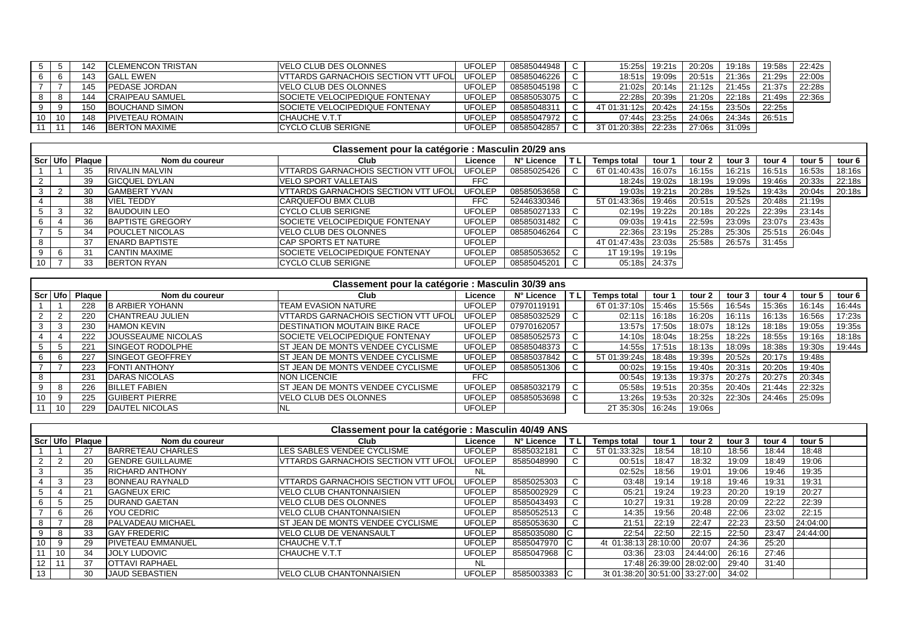|    |    | 142 | <b>ICLEMENCON TRISTAN</b> | VELO CLUB DES OLONNES                       | UFOLEP        | 08585044948 | 15:25s       | 19:21s | 20:20s | 19:18s | 19:58s | 22:42s |
|----|----|-----|---------------------------|---------------------------------------------|---------------|-------------|--------------|--------|--------|--------|--------|--------|
|    |    | 143 | <b>GALL EWEN</b>          | <b>VITARDS GARNACHOIS SECTION VTT UFOLI</b> | <b>UFOLEP</b> | 08585046226 | 18:51s       | 19:09s | 20:51s | 21:36s | 21:29s | 22:00s |
|    |    | 145 | <b>PEDASE JORDAN</b>      | VELO CLUB DES OLONNES                       | UFOLEP        | 08585045198 | 21:02s       | 20:14s | 21:12s | 21:45s | 21:37s | 22:28s |
|    | o  | 144 | ICRAIPEAU SAMUEL          | <b>ISOCIETE VELOCIPEDIQUE FONTENAY</b>      | UFOLEP        | 08585053075 | 22:28sl      | 20:39s | 21:20s | 22:18s | 21:49s | 22:36s |
|    | 9  | 150 | BOUCHAND SIMON            | <b>ISOCIETE VELOCIPEDIQUE FONTENAY</b>      | UFOLEP        | 08585048311 | 4T 01:31:12s | 20:42s | 24:15s | 23:50s | 22:25s |        |
| 10 | 10 | 148 | <b>PIVETEAU ROMAIN</b>    | ICHAUCHE V.T.T                              | UFOLEP        | 08585047972 | 07:44s       | 23:25s | 24:06s | 24:34s | 26:51s |        |
|    |    | 146 | <b>BERTON MAXIME</b>      | <b>CYCLO CLUB SERIGNE</b>                   | UFOLEP        | 08585042857 | 3T 01:20:38s | 22:23s | 27:06s | 31:09s |        |        |

|    | Classement pour la catégorie : Masculin 20/29 ans |                  |                         |                                            |               |             |    |                    |               |        |        |        |        |        |
|----|---------------------------------------------------|------------------|-------------------------|--------------------------------------------|---------------|-------------|----|--------------------|---------------|--------|--------|--------|--------|--------|
|    |                                                   | Scr Ufo   Plaque | Nom du coureur          | Club                                       | Licence       | N° Licence  |    | <b>Temps total</b> | tour 1        | tour 2 | tour 3 | tour 4 | tour 5 | tour 6 |
|    |                                                   | 35               | <b>RIVALIN MALVIN</b>   | VTTARDS GARNACHOIS SECTION VTT UFOL        | <b>UFOLEP</b> | 08585025426 |    | 6T 01:40:43s       | 16:07s        | 16:15s | 16:21s | 16:51s | 16:53s | 18:16s |
|    |                                                   | 39               | <b>GICQUEL DYLAN</b>    | VELO SPORT VALLETAIS                       | <b>FFC</b>    |             |    | 18:24s             | 19:02s        | 18:19s | 19:09s | 19:46s | 20:33s | 22:18s |
|    |                                                   | 30               | <b>IGAMBERT YVAN</b>    | <b>VTTARDS GARNACHOIS SECTION VTT UFOL</b> | <b>UFOLEP</b> | 08585053658 |    | 19:03s             | 19:21s        | 20:28s | 19:52s | 19:43s | 20:04s | 20:18s |
|    |                                                   | 38               | <b>VIEL TEDDY</b>       | CARQUEFOU BMX CLUB                         | <b>FFC</b>    | 52446330346 |    | 5T 01:43:36s       | 19:46s        | 20:51s | 20:52s | 20:48s | 21:19s |        |
|    |                                                   | 32               | <b>BAUDOUIN LEO</b>     | ICYCLO CLUB SERIGNE                        | <b>UFOLEP</b> | 08585027133 | C. | 02:19s             | 19:22s        | 20:18s | 20:22s | 22:39s | 23:14s |        |
|    |                                                   | 36               | <b>BAPTISTE GREGORY</b> | SOCIETE VELOCIPEDIQUE FONTENAY             | <b>UFOLEP</b> | 08585031482 |    |                    | 09:03s 19:41s | 22:59s | 23:09s | 23:07s | 23:43s |        |
|    | <sub>5</sub>                                      | 34               | <b>POUCLET NICOLAS</b>  | VELO CLUB DES OLONNES                      | <b>UFOLEP</b> | 08585046264 |    | 22:36sl            | 23:19s        | 25:28s | 25:30s | 25:51s | 26:04s |        |
|    |                                                   | 37               | <b>ENARD BAPTISTE</b>   | CAP SPORTS ET NATURE                       | <b>UFOLEP</b> |             |    | 4T 01:47:43s       | 23:03s        | 25:58s | 26:57s | 31:45s |        |        |
|    | -6                                                | 31               | <b>CANTIN MAXIME</b>    | SOCIETE VELOCIPEDIQUE FONTENAY             | <b>UFOLEP</b> | 08585053652 |    | 1T 19:19s          | 19:19s        |        |        |        |        |        |
| 10 |                                                   | 33               | <b>BERTON RYAN</b>      | CYCLO CLUB SERIGNE                         | <b>UFOLEP</b> | 08585045201 |    |                    | 05:18s 24:37s |        |        |        |        |        |

|    | Classement pour la catégorie : Masculin 30/39 ans |          |                          |                                            |               |             |        |                    |        |        |        |        |        |        |  |
|----|---------------------------------------------------|----------|--------------------------|--------------------------------------------|---------------|-------------|--------|--------------------|--------|--------|--------|--------|--------|--------|--|
|    | Scr Ufo                                           | Plaque I | Nom du coureur           | Club                                       | Licence       | N° Licence  |        | <b>Temps total</b> | tour 1 | tour 2 | tour 3 | tour 4 | tour 5 | tour 6 |  |
|    |                                                   | 228      | <b>B ARBIER YOHANN</b>   | <b>TEAM EVASION NATURE</b>                 | <b>UFOLEP</b> | 07970119191 |        | 6T 01:37:10s       | 15:46s | 15:56s | 16:54s | 15:36s | 16:14s | 16:44s |  |
|    | $\mathcal{D}$                                     | 220      | <b>CHANTREAU JULIEN</b>  | <b>VTTARDS GARNACHOIS SECTION VTT UFOL</b> | <b>UFOLEP</b> | 08585032529 |        | 02:11sl            | 16:18s | 16:20s | 16:11s | 16:13s | 16:56s | 17:23s |  |
|    | -3                                                | 230      | <b>HAMON KEVIN</b>       | IDESTINATION MOUTAIN BIKE RACE             | <b>UFOLEP</b> | 07970162057 |        | 13:57s             | 17:50s | 18:07s | 18:12s | 18:18s | 19:05s | 19:35s |  |
|    |                                                   | 222      | JOUSSEAUME NICOLAS       | <b>ISOCIETE VELOCIPEDIQUE FONTENAY</b>     | <b>UFOLEP</b> | 08585052573 |        | 14:10s             | 18:04s | 18:25s | 18:22s | 18:55s | 19:16s | 18:18s |  |
|    | . 5                                               | 221      | <b>ISINGEOT RODOLPHE</b> | IST JEAN DE MONTS VENDEE CYCLISME          | <b>UFOLEP</b> | 08585048373 | $\sim$ | 14:55s             | 17:51s | 18:13s | 18:09s | 18:38s | 19:30s | 19:44s |  |
|    | 6                                                 | 227      | <b>ISINGEOT GEOFFREY</b> | <b>ST JEAN DE MONTS VENDEE CYCLISME</b>    | <b>UFOLEP</b> | 08585037842 | C      | 5T 01:39:24s       | 18:48s | 19:39s | 20:52s | 20:17s | 19:48s |        |  |
|    |                                                   | 223      | <b>FONTI ANTHONY</b>     | IST JEAN DE MONTS VENDEE CYCLISME          | <b>UFOLEP</b> | 08585051306 |        | 00:02s             | 19:15s | 19:40s | 20:31s | 20:20s | 19:40s |        |  |
|    |                                                   | 231      | <b>DARAS NICOLAS</b>     | <b>INON LICENCIE</b>                       | FFC           |             |        | 00:54s             | 19:13s | 19:37s | 20:27s | 20:27s | 20:34s |        |  |
|    | -8                                                | 226      | <b>BILLET FABIEN</b>     | <b>IST JEAN DE MONTS VENDEE CYCLISME</b>   | <b>UFOLEP</b> | 08585032179 |        | 05:58s             | 19:51s | 20:35s | 20:40s | 21:44s | 22:32s |        |  |
| 10 | 9                                                 | 225      | <b>IGUIBERT PIERRE</b>   | VELO CLUB DES OLONNES                      | <b>UFOLEP</b> | 08585053698 | $\sim$ | 13:26s             | 19:53s | 20:32s | 22:30s | 24:46s | 25:09s |        |  |
|    | 10                                                | 229      | <b>DAUTEL NICOLAS</b>    | <b>NL</b>                                  | <b>UFOLEP</b> |             |        | 2T 35:30s          | 16:24s | 19:06s |        |        |        |        |  |

|                 | Classement pour la catégorie : Masculin 40/49 ANS |               |                           |                                            |               |              |     |                               |        |                         |        |        |          |  |
|-----------------|---------------------------------------------------|---------------|---------------------------|--------------------------------------------|---------------|--------------|-----|-------------------------------|--------|-------------------------|--------|--------|----------|--|
|                 | Scr   Ufo                                         | <b>Plague</b> | Nom du coureur            | Club                                       | Licence       | N° Licence   |     | <b>Temps total</b>            | tour 1 | tour 2                  | tour 3 | tour 4 | tour 5   |  |
|                 |                                                   | 27            | BARRETEAU CHARLES         | LES SABLES VENDEE CYCLISME                 | <b>UFOLEP</b> | 8585032181   | C   | 5T 01:33:32sl                 | 18:54  | 18:10                   | 18:56  | 18:44  | 18:48    |  |
|                 | 2                                                 | 20            | <b>IGENDRE GUILLAUME</b>  | VTTARDS GARNACHOIS SECTION VTT UFOL        | <b>UFOLEP</b> | 8585048990   | C   | 00:51s                        | 18:47  | 18:32                   | 19:09  | 18:49  | 19:06    |  |
|                 |                                                   | 35            | <b>RICHARD ANTHONY</b>    |                                            | NL            |              |     | 02:52s                        | 18:56  | 19:01                   | 19:06  | 19:46  | 19:35    |  |
|                 | 3                                                 | 23            | <b>BONNEAU RAYNALD</b>    | <b>VTTARDS GARNACHOIS SECTION VTT UFOL</b> | <b>UFOLEP</b> | 8585025303   | C   | 03:48                         | 19:14  | 19:18                   | 19:46  | 19:31  | 19:31    |  |
|                 |                                                   | 21            | <b>GAGNEUX ERIC</b>       | <b>VELO CLUB CHANTONNAISIEN</b>            | <b>UFOLEP</b> | 8585002929   | C   | 05:21                         | 19:24  | 19:23                   | 20:20  | 19:19  | 20:27    |  |
|                 | 5                                                 | 25            | <b>IDURAND GAETAN</b>     | VELO CLUB DES OLONNES                      | <b>UFOLEP</b> | 8585043493   | C.  | 10:27                         | 19:31  | 19:28                   | 20:09  | 22:22  | 22:39    |  |
|                 | 6                                                 | 26            | YOU CEDRIC                | <b>IVELO CLUB CHANTONNAISIEN</b>           | <b>UFOLEP</b> | 8585052513   | C   | 14:35                         | 19:56  | 20:48                   | 22:06  | 23:02  | 22:15    |  |
|                 |                                                   | 28            | <b>PALVADEAU MICHAEL</b>  | IST JEAN DE MONTS VENDEE CYCLISME          | <b>UFOLEP</b> | 8585053630   | C   | 21:51                         | 22:19  | 22:47                   | 22:23  | 23:50  | 24:04:00 |  |
|                 | - 8                                               | 33            | <b>GAY FREDERIC</b>       | VELO CLUB DE VENANSAULT                    | <b>UFOLEP</b> | 8585035080   | -lC | 22:54                         | 22:50  | 22:15                   | 22:50  | 23:47  | 24:44:00 |  |
| 10              | 9                                                 | 29            | <b>IPIVETEAU EMMANUEL</b> | ICHAUCHE V.T.T                             | <b>UFOLEP</b> | 8585047970 C |     | 4t 01:38:13 28:10:00          |        | 20:07                   | 24:36  | 25:20  |          |  |
| 11              | 10                                                | 34            | <b>JOLY LUDOVIC</b>       | ICHAUCHE V.T.T                             | <b>UFOLEP</b> | 8585047968   | IC. | 03:36                         | 23:03  | 24:44:00                | 26:16  | 27:46  |          |  |
| 12 <sub>1</sub> | 11                                                | 37            | <b>OTTAVI RAPHAEL</b>     |                                            | NL            |              |     |                               |        | 17:48 26:39:00 28:02:00 | 29:40  | 31:40  |          |  |
| 13 <sub>1</sub> |                                                   | 30            | <b>JAUD SEBASTIEN</b>     | <b>IVELO CLUB CHANTONNAISIEN</b>           | <b>UFOLEP</b> | 8585003383 C |     | 3t 01:38:20 30:51:00 33:27:00 |        |                         | 34:02  |        |          |  |